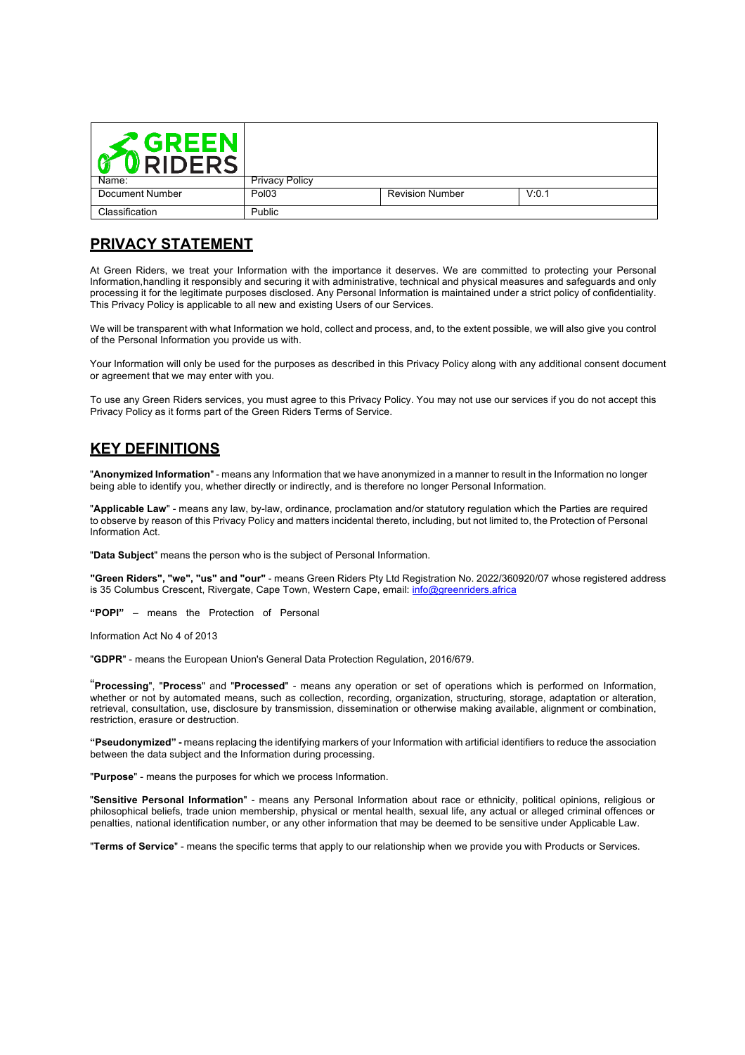| $\mathcal Z$ GREEN<br><b>RIDERS</b> |                       |                        |       |
|-------------------------------------|-----------------------|------------------------|-------|
| Name:                               | <b>Privacy Policy</b> |                        |       |
| Document Number                     | Pol <sub>03</sub>     | <b>Revision Number</b> | V:0.1 |
| Classification                      | Public                |                        |       |

# **PRIVACY STATEMENT**

At Green Riders, we treat your Information with the importance it deserves. We are committed to protecting your Personal Information,handling it responsibly and securing it with administrative, technical and physical measures and safeguards and only processing it for the legitimate purposes disclosed. Any Personal Information is maintained under a strict policy of confidentiality. This Privacy Policy is applicable to all new and existing Users of our Services.

We will be transparent with what Information we hold, collect and process, and, to the extent possible, we will also give you control of the Personal Information you provide us with.

Your Information will only be used for the purposes as described in this Privacy Policy along with any additional consent document or agreement that we may enter with you.

To use any Green Riders services, you must agree to this Privacy Policy. You may not use our services if you do not accept this Privacy Policy as it forms part of the Green Riders Terms of Service.

## **KEY DEFINITIONS**

"**Anonymized Information**" - means any Information that we have anonymized in a manner to result in the Information no longer being able to identify you, whether directly or indirectly, and is therefore no longer Personal Information.

"**Applicable Law**" - means any law, by-law, ordinance, proclamation and/or statutory regulation which the Parties are required to observe by reason of this Privacy Policy and matters incidental thereto, including, but not limited to, the Protection of Personal Information Act.

"**Data Subject**" means the person who is the subject of Personal Information.

**"Green Riders", "we", "us" and "our"** - means Green Riders Pty Ltd Registration No. 2022/360920/07 whose registered address is 35 Columbus Crescent, Rivergate, Cape Town, Western Cape, email: info@greenriders.africa

**"POPI"** – means the Protection of Personal

Information Act No 4 of 2013

"**GDPR**" - means the European Union's General Data Protection Regulation, 2016/679.

"**Processing**", "**Process**" and "**Processed**" - means any operation or set of operations which is performed on Information, whether or not by automated means, such as collection, recording, organization, structuring, storage, adaptation or alteration, retrieval, consultation, use, disclosure by transmission, dissemination or otherwise making available, alignment or combination, restriction, erasure or destruction.

**"Pseudonymized" -** means replacing the identifying markers of your Information with artificial identifiers to reduce the association between the data subject and the Information during processing.

"**Purpose**" - means the purposes for which we process Information.

"**Sensitive Personal Information**" - means any Personal Information about race or ethnicity, political opinions, religious or philosophical beliefs, trade union membership, physical or mental health, sexual life, any actual or alleged criminal offences or penalties, national identification number, or any other information that may be deemed to be sensitive under Applicable Law.

"**Terms of Service**" - means the specific terms that apply to our relationship when we provide you with Products or Services.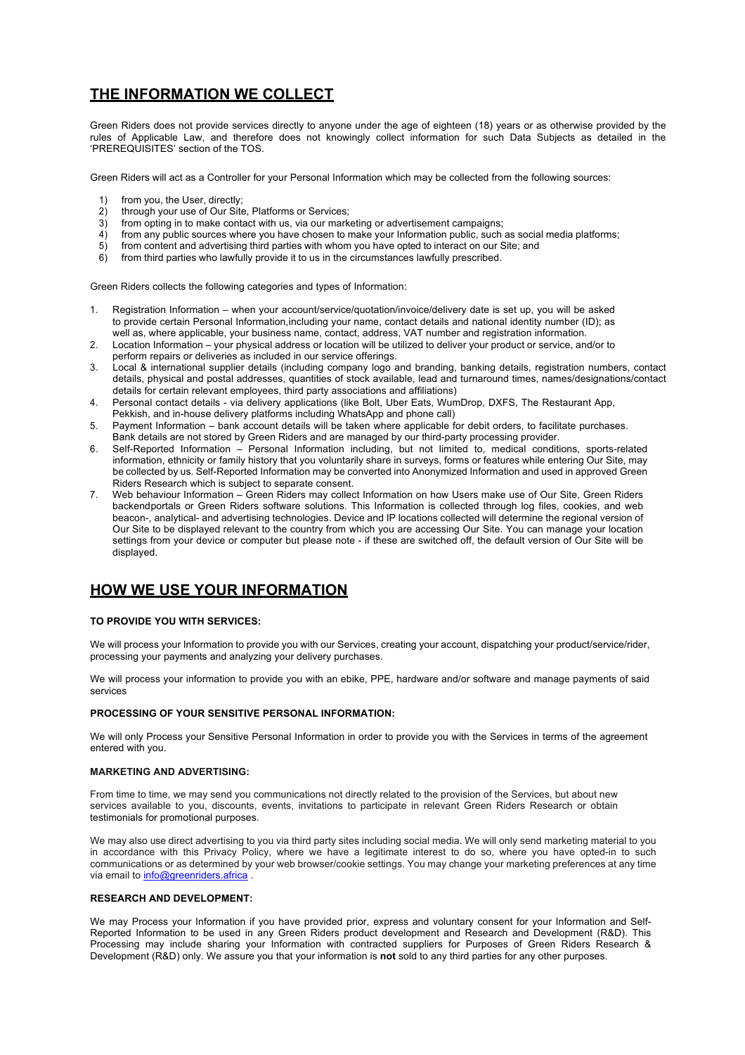# **THE INFORMATION WE COLLECT**

Green Riders does not provide services directly to anyone under the age of eighteen (18) years or as otherwise provided by the rules of Applicable Law, and therefore does not knowingly collect information for such Data Subjects as detailed in the 'PREREQUISITES' section of the TOS.

Green Riders will act as a Controller for your Personal Information which may be collected from the following sources:

- 1) from you, the User, directly;<br>2) through your use of Our Site
- through your use of Our Site, Platforms or Services;
- 3) from opting in to make contact with us, via our marketing or advertisement campaigns;
- 4) from any public sources where you have chosen to make your Information public, such as social media platforms;
- 5) from content and advertising third parties with whom you have opted to interact on our Site; and 6) from third parties who lawfully provide it to us in the circumstances lawfully prescribed.
- from third parties who lawfully provide it to us in the circumstances lawfully prescribed.

Green Riders collects the following categories and types of Information:

- 1. Registration Information when your account/service/quotation/invoice/delivery date is set up, you will be asked to provide certain Personal Information,including your name, contact details and national identity number (ID); as well as, where applicable, your business name, contact, address, VAT number and registration information.
- 2. Location Information your physical address or location will be utilized to deliver your product or service, and/or to perform repairs or deliveries as included in our service offerings.
- 3. Local & international supplier details (including company logo and branding, banking details, registration numbers, contact details, physical and postal addresses, quantities of stock available, lead and turnaround times, names/designations/contact details for certain relevant employees, third party associations and affiliations)
- 4. Personal contact details via delivery applications (like Bolt, Uber Eats, WumDrop, DXFS, The Restaurant App, Pekkish, and in-house delivery platforms including WhatsApp and phone call)
- 5. Payment Information bank account details will be taken where applicable for debit orders, to facilitate purchases.
- Bank details are not stored by Green Riders and are managed by our third-party processing provider.
- 6. Self-Reported Information Personal Information including, but not limited to, medical conditions, sports-related information, ethnicity or family history that you voluntarily share in surveys, forms or features while entering Our Site, may be collected by us. Self-Reported Information may be converted into Anonymized Information and used in approved Green Riders Research which is subject to separate consent.
- 7. Web behaviour Information Green Riders may collect Information on how Users make use of Our Site, Green Riders backendportals or Green Riders software solutions. This Information is collected through log files, cookies, and web beacon-, analytical- and advertising technologies. Device and IP locations collected will determine the regional version of Our Site to be displayed relevant to the country from which you are accessing Our Site. You can manage your location settings from your device or computer but please note - if these are switched off, the default version of Our Site will be displayed.

## **HOW WE USE YOUR INFORMATION**

#### **TO PROVIDE YOU WITH SERVICES:**

We will process your Information to provide you with our Services, creating your account, dispatching your product/service/rider, processing your payments and analyzing your delivery purchases.

We will process your information to provide you with an ebike, PPE, hardware and/or software and manage payments of said services

#### **PROCESSING OF YOUR SENSITIVE PERSONAL INFORMATION:**

We will only Process your Sensitive Personal Information in order to provide you with the Services in terms of the agreement entered with you.

#### **MARKETING AND ADVERTISING:**

From time to time, we may send you communications not directly related to the provision of the Services, but about new services available to you, discounts, events, invitations to participate in relevant Green Riders Research or obtain testimonials for promotional purposes.

We may also use direct advertising to you via third party sites including social media. We will only send marketing material to you in accordance with this Privacy Policy, where we have a legitimate interest to do so, where you have opted-in to such communications or as determined by your web browser/cookie settings. You may change your marketing preferences at any time via email to info@greenriders.africa .

#### **RESEARCH AND DEVELOPMENT:**

We may Process your Information if you have provided prior, express and voluntary consent for your Information and Self-Reported Information to be used in any Green Riders product development and Research and Development (R&D). This Processing may include sharing your Information with contracted suppliers for Purposes of Green Riders Research & Development (R&D) only. We assure you that your information is **not** sold to any third parties for any other purposes.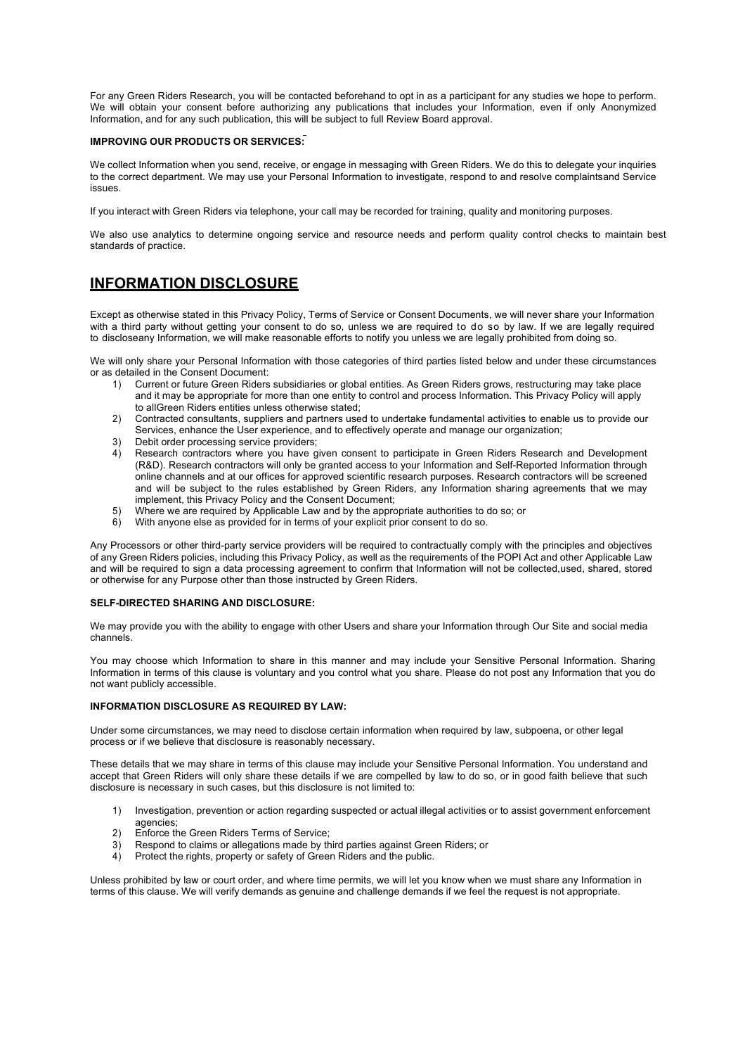For any Green Riders Research, you will be contacted beforehand to opt in as a participant for any studies we hope to perform. We will obtain your consent before authorizing any publications that includes your Information, even if only Anonymized Information, and for any such publication, this will be subject to full Review Board approval.

#### **IMPROVING OUR PRODUCTS OR SERVICES:**

We collect Information when you send, receive, or engage in messaging with Green Riders. We do this to delegate your inquiries to the correct department. We may use your Personal Information to investigate, respond to and resolve complaintsand Service issues.

If you interact with Green Riders via telephone, your call may be recorded for training, quality and monitoring purposes.

We also use analytics to determine ongoing service and resource needs and perform quality control checks to maintain best standards of practice.

## **INFORMATION DISCLOSURE**

Except as otherwise stated in this Privacy Policy, Terms of Service or Consent Documents, we will never share your Information with a third party without getting your consent to do so, unless we are required to do so by law. If we are legally required to discloseany Information, we will make reasonable efforts to notify you unless we are legally prohibited from doing so.

We will only share your Personal Information with those categories of third parties listed below and under these circumstances or as detailed in the Consent Document:

- 1) Current or future Green Riders subsidiaries or global entities. As Green Riders grows, restructuring may take place and it may be appropriate for more than one entity to control and process Information. This Privacy Policy will apply to allGreen Riders entities unless otherwise stated;
- 2) Contracted consultants, suppliers and partners used to undertake fundamental activities to enable us to provide our Services, enhance the User experience, and to effectively operate and manage our organization;
- 3) Debit order processing service providers;
- 4) Research contractors where you have given consent to participate in Green Riders Research and Development (R&D). Research contractors will only be granted access to your Information and Self-Reported Information through online channels and at our offices for approved scientific research purposes. Research contractors will be screened and will be subject to the rules established by Green Riders, any Information sharing agreements that we may implement, this Privacy Policy and the Consent Document;
- 5) Where we are required by Applicable Law and by the appropriate authorities to do so; or
- 6) With anyone else as provided for in terms of your explicit prior consent to do so.

Any Processors or other third-party service providers will be required to contractually comply with the principles and objectives of any Green Riders policies, including this Privacy Policy, as well as the requirements of the POPI Act and other Applicable Law and will be required to sign a data processing agreement to confirm that Information will not be collected,used, shared, stored or otherwise for any Purpose other than those instructed by Green Riders.

#### **SELF-DIRECTED SHARING AND DISCLOSURE:**

We may provide you with the ability to engage with other Users and share your Information through Our Site and social media channels.

You may choose which Information to share in this manner and may include your Sensitive Personal Information. Sharing Information in terms of this clause is voluntary and you control what you share. Please do not post any Information that you do not want publicly accessible.

#### **INFORMATION DISCLOSURE AS REQUIRED BY LAW:**

Under some circumstances, we may need to disclose certain information when required by law, subpoena, or other legal process or if we believe that disclosure is reasonably necessary.

These details that we may share in terms of this clause may include your Sensitive Personal Information. You understand and accept that Green Riders will only share these details if we are compelled by law to do so, or in good faith believe that such disclosure is necessary in such cases, but this disclosure is not limited to:

- 1) Investigation, prevention or action regarding suspected or actual illegal activities or to assist government enforcement agencies;
- 2) Enforce the Green Riders Terms of Service;
- 3) Respond to claims or allegations made by third parties against Green Riders; or
- 4) Protect the rights, property or safety of Green Riders and the public.

Unless prohibited by law or court order, and where time permits, we will let you know when we must share any Information in terms of this clause. We will verify demands as genuine and challenge demands if we feel the request is not appropriate.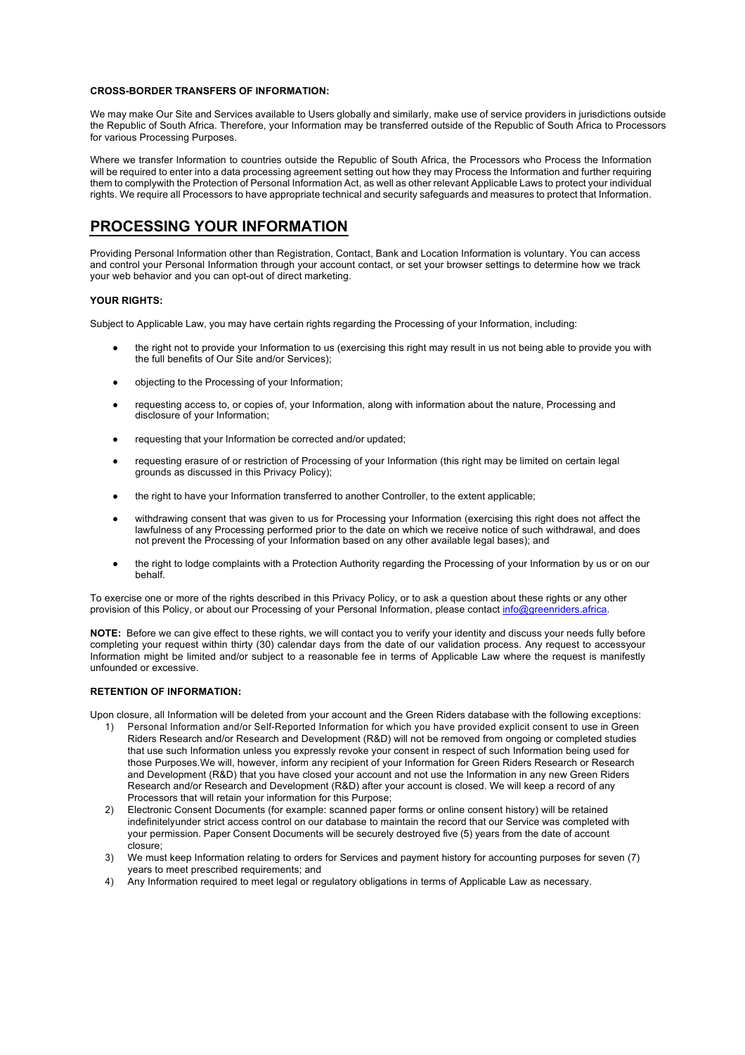#### **CROSS-BORDER TRANSFERS OF INFORMATION:**

We may make Our Site and Services available to Users globally and similarly, make use of service providers in jurisdictions outside the Republic of South Africa. Therefore, your Information may be transferred outside of the Republic of South Africa to Processors for various Processing Purposes.

Where we transfer Information to countries outside the Republic of South Africa, the Processors who Process the Information will be required to enter into a data processing agreement setting out how they may Process the Information and further requiring them to complywith the Protection of Personal Information Act, as well as other relevant Applicable Laws to protect your individual rights. We require all Processors to have appropriate technical and security safeguards and measures to protect that Information.

### **PROCESSING YOUR INFORMATION**

Providing Personal Information other than Registration, Contact, Bank and Location Information is voluntary. You can access and control your Personal Information through your account contact, or set your browser settings to determine how we track your web behavior and you can opt-out of direct marketing.

#### **YOUR RIGHTS:**

Subject to Applicable Law, you may have certain rights regarding the Processing of your Information, including:

- the right not to provide your Information to us (exercising this right may result in us not being able to provide you with the full benefits of Our Site and/or Services);
- objecting to the Processing of your Information;
- requesting access to, or copies of, your Information, along with information about the nature, Processing and disclosure of your Information;
- requesting that your Information be corrected and/or updated;
- requesting erasure of or restriction of Processing of your Information (this right may be limited on certain legal grounds as discussed in this Privacy Policy);
- the right to have your Information transferred to another Controller, to the extent applicable;
- withdrawing consent that was given to us for Processing your Information (exercising this right does not affect the lawfulness of any Processing performed prior to the date on which we receive notice of such withdrawal, and does not prevent the Processing of your Information based on any other available legal bases); and
- the right to lodge complaints with a Protection Authority regarding the Processing of your Information by us or on our behalf.

To exercise one or more of the rights described in this Privacy Policy, or to ask a question about these rights or any other provision of this Policy, or about our Processing of your Personal Information, please contact info@greenriders.africa.

**NOTE:** Before we can give effect to these rights, we will contact you to verify your identity and discuss your needs fully before completing your request within thirty (30) calendar days from the date of our validation process. Any request to accessyour Information might be limited and/or subject to a reasonable fee in terms of Applicable Law where the request is manifestly unfounded or excessive.

#### **RETENTION OF INFORMATION:**

Upon closure, all Information will be deleted from your account and the Green Riders database with the following exceptions:

- 1) Personal Information and/or Self-Reported Information for which you have provided explicit consent to use in Green Riders Research and/or Research and Development (R&D) will not be removed from ongoing or completed studies that use such Information unless you expressly revoke your consent in respect of such Information being used for those Purposes.We will, however, inform any recipient of your Information for Green Riders Research or Research and Development (R&D) that you have closed your account and not use the Information in any new Green Riders Research and/or Research and Development (R&D) after your account is closed. We will keep a record of any Processors that will retain your information for this Purpose;
- 2) Electronic Consent Documents (for example: scanned paper forms or online consent history) will be retained indefinitelyunder strict access control on our database to maintain the record that our Service was completed with your permission. Paper Consent Documents will be securely destroyed five (5) years from the date of account closure;
- 3) We must keep Information relating to orders for Services and payment history for accounting purposes for seven (7) years to meet prescribed requirements; and
- 4) Any Information required to meet legal or regulatory obligations in terms of Applicable Law as necessary.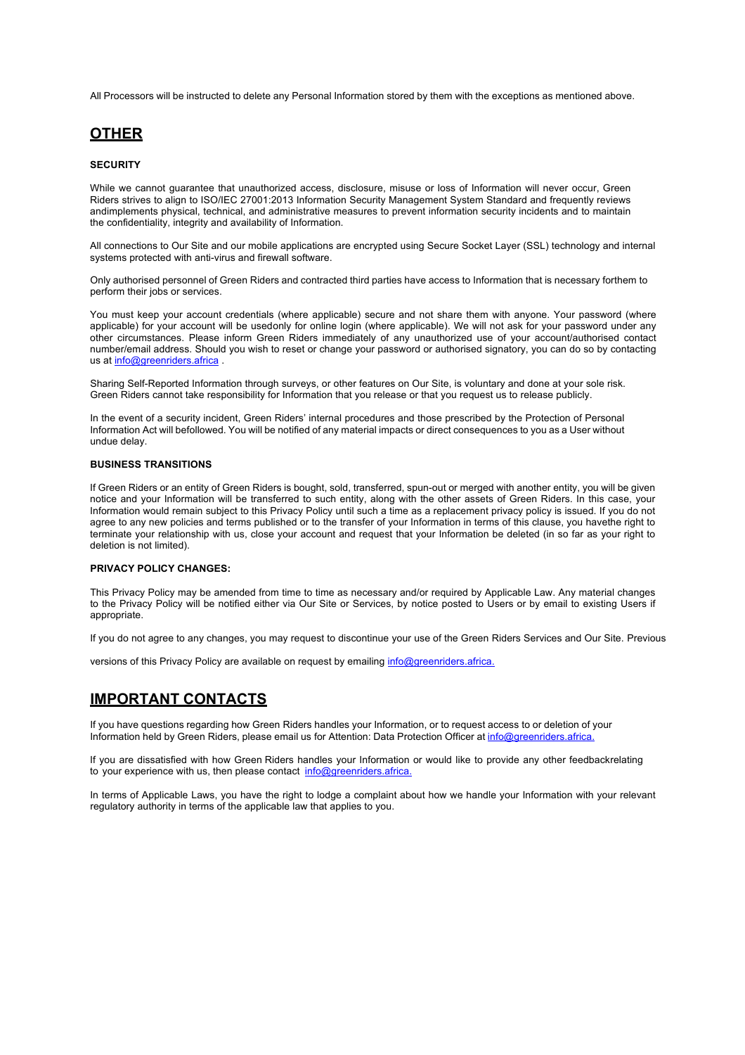All Processors will be instructed to delete any Personal Information stored by them with the exceptions as mentioned above.

### **OTHER**

#### **SECURITY**

While we cannot guarantee that unauthorized access, disclosure, misuse or loss of Information will never occur, Green Riders strives to align to ISO/IEC 27001:2013 Information Security Management System Standard and frequently reviews andimplements physical, technical, and administrative measures to prevent information security incidents and to maintain the confidentiality, integrity and availability of Information.

All connections to Our Site and our mobile applications are encrypted using Secure Socket Layer (SSL) technology and internal systems protected with anti-virus and firewall software.

Only authorised personnel of Green Riders and contracted third parties have access to Information that is necessary forthem to perform their jobs or services.

You must keep your account credentials (where applicable) secure and not share them with anyone. Your password (where applicable) for your account will be usedonly for online login (where applicable). We will not ask for your password under any other circumstances. Please inform Green Riders immediately of any unauthorized use of your account/authorised contact number/email address. Should you wish to reset or change your password or authorised signatory, you can do so by contacting us at info@greenriders.africa .

Sharing Self-Reported Information through surveys, or other features on Our Site, is voluntary and done at your sole risk. Green Riders cannot take responsibility for Information that you release or that you request us to release publicly.

In the event of a security incident, Green Riders' internal procedures and those prescribed by the Protection of Personal Information Act will befollowed. You will be notified of any material impacts or direct consequences to you as a User without undue delay.

#### **BUSINESS TRANSITIONS**

If Green Riders or an entity of Green Riders is bought, sold, transferred, spun-out or merged with another entity, you will be given notice and your Information will be transferred to such entity, along with the other assets of Green Riders. In this case, your Information would remain subject to this Privacy Policy until such a time as a replacement privacy policy is issued. If you do not agree to any new policies and terms published or to the transfer of your Information in terms of this clause, you havethe right to terminate your relationship with us, close your account and request that your Information be deleted (in so far as your right to deletion is not limited).

#### **PRIVACY POLICY CHANGES:**

This Privacy Policy may be amended from time to time as necessary and/or required by Applicable Law. Any material changes to the Privacy Policy will be notified either via Our Site or Services, by notice posted to Users or by email to existing Users if appropriate.

If you do not agree to any changes, you may request to discontinue your use of the Green Riders Services and Our Site. Previous

versions of this Privacy Policy are available on request by emailing info@greenriders.africa.

# **IMPORTANT CONTACTS**

If you have questions regarding how Green Riders handles your Information, or to request access to or deletion of your Information held by Green Riders, please email us for Attention: Data Protection Officer at info@greenriders.africa.

If you are dissatisfied with how Green Riders handles your Information or would like to provide any other feedbackrelating to your experience with us, then please contact info@greenriders.africa.

In terms of Applicable Laws, you have the right to lodge a complaint about how we handle your Information with your relevant regulatory authority in terms of the applicable law that applies to you.